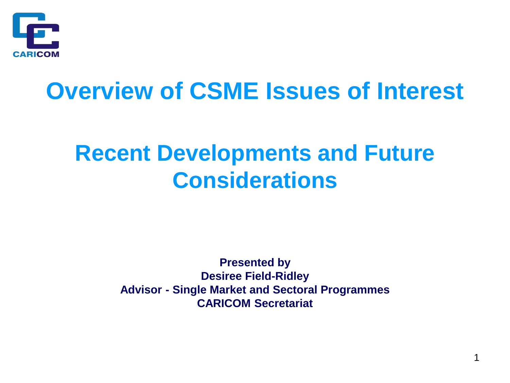

### **Overview of CSME Issues of Interest**

### **Recent Developments and Future Considerations**

**Presented by Desiree Field-Ridley Advisor - Single Market and Sectoral Programmes CARICOM Secretariat**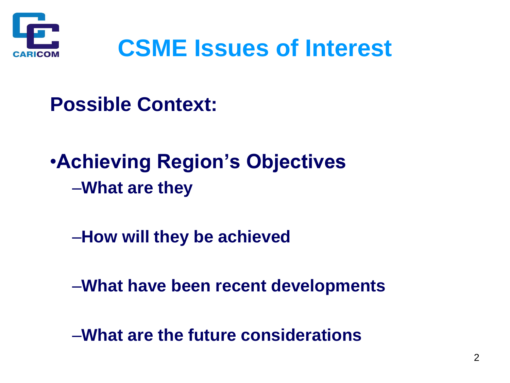

### **CSME Issues of Interest**

### **Possible Context:**

### •**Achieving Region's Objectives** –**What are they**

–**How will they be achieved**

–**What have been recent developments**

–**What are the future considerations**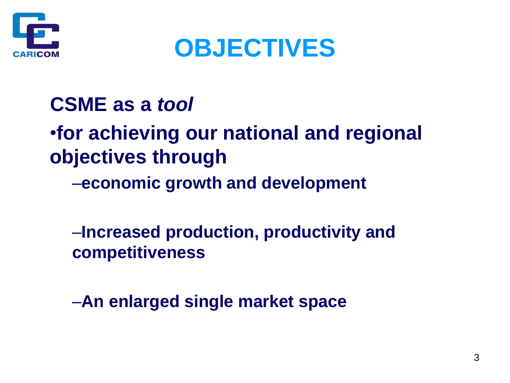



#### **CSME as a** *tool*

#### •**for achieving our national and regional objectives through**

#### –**economic growth and development**

#### –**Increased production, productivity and competitiveness**

–**An enlarged single market space**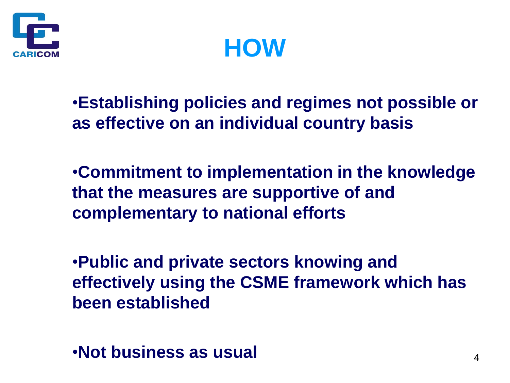



•**Establishing policies and regimes not possible or as effective on an individual country basis**

•**Commitment to implementation in the knowledge that the measures are supportive of and complementary to national efforts**

•**Public and private sectors knowing and effectively using the CSME framework which has been established**

•**Not business as usual**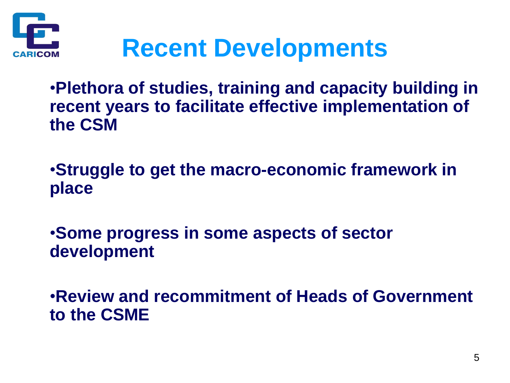

### **Recent Developments**

•**Plethora of studies, training and capacity building in recent years to facilitate effective implementation of the CSM**

•**Struggle to get the macro-economic framework in place**

•**Some progress in some aspects of sector development**

•**Review and recommitment of Heads of Government to the CSME**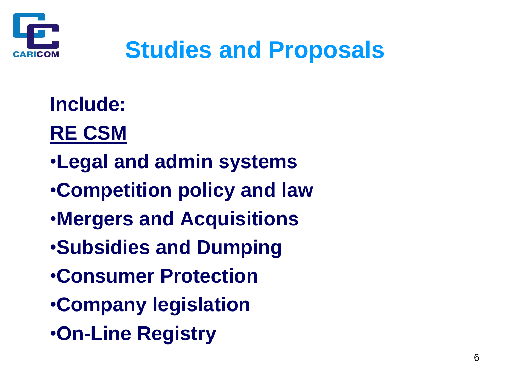

### **Studies and Proposals**

# **Include:**

- **RE CSM**
- •**Legal and admin systems**
- •**Competition policy and law**
- •**Mergers and Acquisitions**
- •**Subsidies and Dumping**
- •**Consumer Protection**
- •**Company legislation**
- •**On-Line Registry**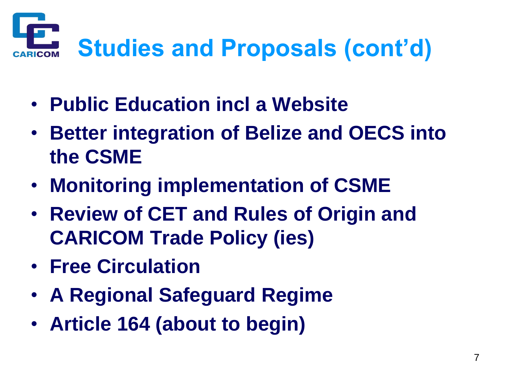

- **Public Education incl a Website**
- **Better integration of Belize and OECS into the CSME**
- **Monitoring implementation of CSME**
- **Review of CET and Rules of Origin and CARICOM Trade Policy (ies)**
- **Free Circulation**
- **A Regional Safeguard Regime**
- **Article 164 (about to begin)**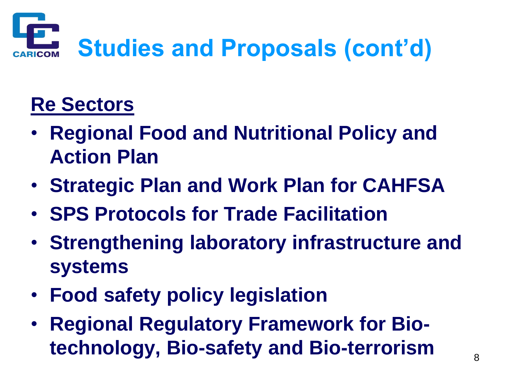

#### **Re Sectors**

- **Regional Food and Nutritional Policy and Action Plan**
- **Strategic Plan and Work Plan for CAHFSA**
- **SPS Protocols for Trade Facilitation**
- **Strengthening laboratory infrastructure and systems**
- **Food safety policy legislation**
- **Regional Regulatory Framework for Biotechnology, Bio-safety and Bio-terrorism**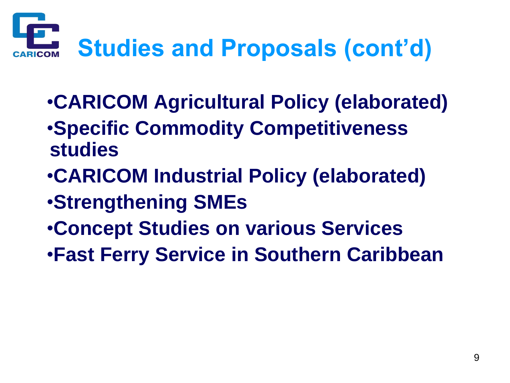

- •**CARICOM Agricultural Policy (elaborated)** •**Specific Commodity Competitiveness studies**
- •**CARICOM Industrial Policy (elaborated)**
- •**Strengthening SMEs**
- •**Concept Studies on various Services**
- •**Fast Ferry Service in Southern Caribbean**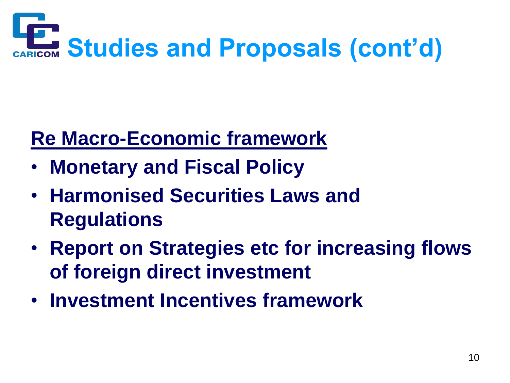

#### **Re Macro-Economic framework**

- **Monetary and Fiscal Policy**
- **Harmonised Securities Laws and Regulations**
- **Report on Strategies etc for increasing flows of foreign direct investment**
- **Investment Incentives framework**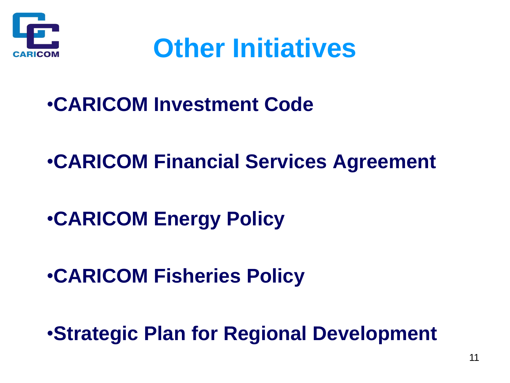

## **Other Initiatives**

- •**CARICOM Investment Code**
- •**CARICOM Financial Services Agreement**
- •**CARICOM Energy Policy**
- •**CARICOM Fisheries Policy**
- •**Strategic Plan for Regional Development**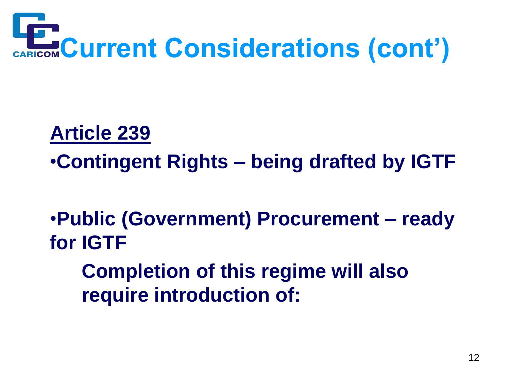

### **Article 239** •**Contingent Rights – being drafted by IGTF**

•**Public (Government) Procurement – ready for IGTF Completion of this regime will also require introduction of:**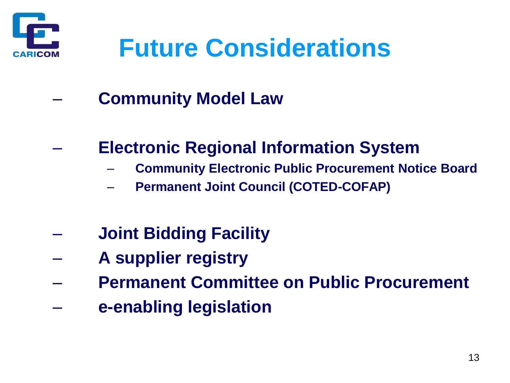

# **Future Considerations**

- **Community Model Law**
- **Electronic Regional Information System** 
	- **Community Electronic Public Procurement Notice Board**
	- **Permanent Joint Council (COTED-COFAP)**
- **Joint Bidding Facility**
- **A supplier registry**
- **Permanent Committee on Public Procurement**
- **e-enabling legislation**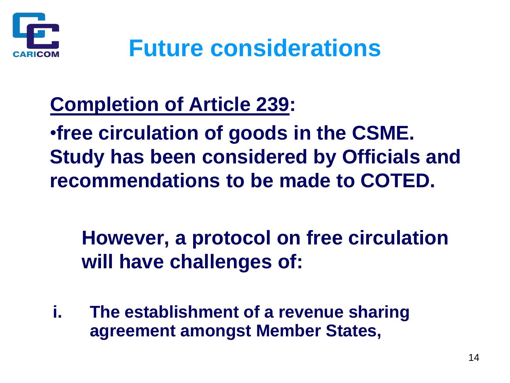

### **Future considerations**

### **Completion of Article 239:**

•**free circulation of goods in the CSME. Study has been considered by Officials and recommendations to be made to COTED.** 

**However, a protocol on free circulation will have challenges of:**

**i. The establishment of a revenue sharing agreement amongst Member States,**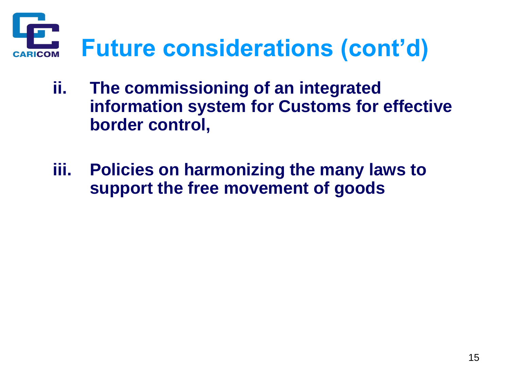

- **ii. The commissioning of an integrated information system for Customs for effective border control,**
- **iii. Policies on harmonizing the many laws to support the free movement of goods**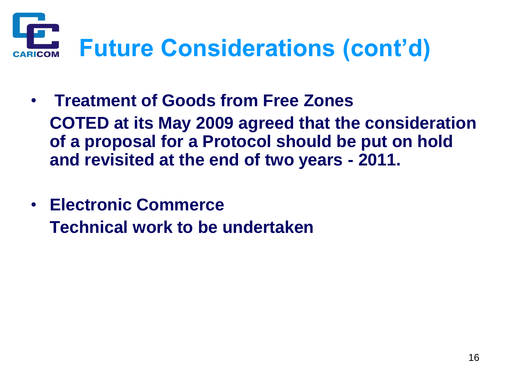

- **Treatment of Goods from Free Zones COTED at its May 2009 agreed that the consideration of a proposal for a Protocol should be put on hold and revisited at the end of two years - 2011.**
- **Electronic Commerce Technical work to be undertaken**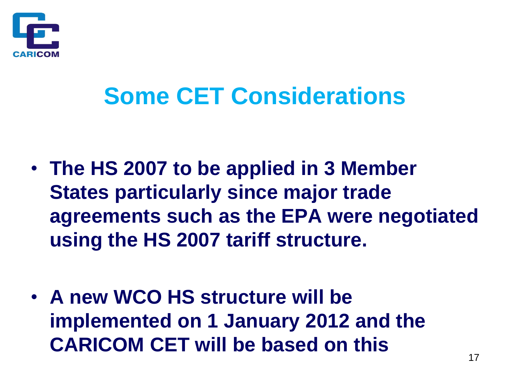

### **Some CET Considerations**

- **The HS 2007 to be applied in 3 Member States particularly since major trade agreements such as the EPA were negotiated using the HS 2007 tariff structure.**
- **A new WCO HS structure will be implemented on 1 January 2012 and the CARICOM CET will be based on this**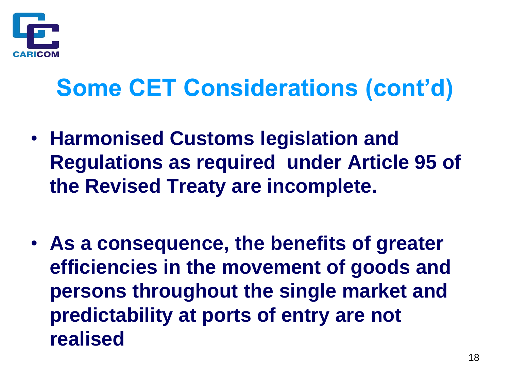

### **Some CET Considerations (cont'd)**

- **Harmonised Customs legislation and Regulations as required under Article 95 of the Revised Treaty are incomplete.**
- **As a consequence, the benefits of greater efficiencies in the movement of goods and persons throughout the single market and predictability at ports of entry are not realised**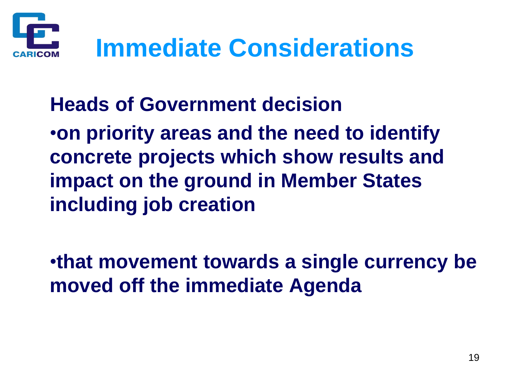

**Heads of Government decision** 

•**on priority areas and the need to identify concrete projects which show results and impact on the ground in Member States including job creation**

•**that movement towards a single currency be moved off the immediate Agenda**